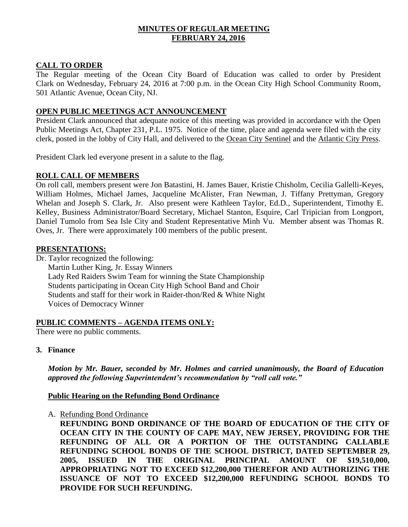## **MINUTES OF REGULAR MEETING FEBRUARY 24, 2016**

## **CALL TO ORDER**

The Regular meeting of the Ocean City Board of Education was called to order by President Clark on Wednesday, February 24, 2016 at 7:00 p.m. in the Ocean City High School Community Room, 501 Atlantic Avenue, Ocean City, NJ.

## **OPEN PUBLIC MEETINGS ACT ANNOUNCEMENT**

President Clark announced that adequate notice of this meeting was provided in accordance with the Open Public Meetings Act, Chapter 231, P.L. 1975. Notice of the time, place and agenda were filed with the city clerk, posted in the lobby of City Hall, and delivered to the Ocean City Sentinel and the Atlantic City Press.

President Clark led everyone present in a salute to the flag.

## **ROLL CALL OF MEMBERS**

On roll call, members present were Jon Batastini, H. James Bauer, Kristie Chisholm, Cecilia Gallelli-Keyes, William Holmes, Michael James, Jacqueline McAlister, Fran Newman, J. Tiffany Prettyman, Gregory Whelan and Joseph S. Clark, Jr. Also present were Kathleen Taylor, Ed.D., Superintendent, Timothy E. Kelley, Business Administrator/Board Secretary, Michael Stanton, Esquire, Carl Tripician from Longport, Daniel Tumolo from Sea Isle City and Student Representative Minh Vu. Member absent was Thomas R. Oves, Jr. There were approximately 100 members of the public present.

## **PRESENTATIONS:**

Dr. Taylor recognized the following:

Martin Luther King, Jr. Essay Winners Lady Red Raiders Swim Team for winning the State Championship Students participating in Ocean City High School Band and Choir Students and staff for their work in Raider-thon/Red & White Night Voices of Democracy Winner

# **PUBLIC COMMENTS – AGENDA ITEMS ONLY:**

There were no public comments.

**3. Finance**

*Motion by Mr. Bauer, seconded by Mr. Holmes and carried unanimously, the Board of Education approved the following Superintendent's recommendation by "roll call vote."*

## **Public Hearing on the Refunding Bond Ordinance**

A. Refunding Bond Ordinance

**REFUNDING BOND ORDINANCE OF THE BOARD OF EDUCATION OF THE CITY OF OCEAN CITY IN THE COUNTY OF CAPE MAY, NEW JERSEY, PROVIDING FOR THE REFUNDING OF ALL OR A PORTION OF THE OUTSTANDING CALLABLE REFUNDING SCHOOL BONDS OF THE SCHOOL DISTRICT, DATED SEPTEMBER 29, 2005, ISSUED IN THE ORIGINAL PRINCIPAL AMOUNT OF \$19,510,000, APPROPRIATING NOT TO EXCEED \$12,200,000 THEREFOR AND AUTHORIZING THE ISSUANCE OF NOT TO EXCEED \$12,200,000 REFUNDING SCHOOL BONDS TO PROVIDE FOR SUCH REFUNDING.**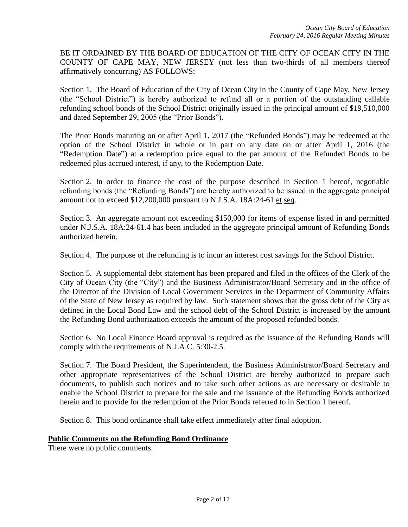BE IT ORDAINED BY THE BOARD OF EDUCATION OF THE CITY OF OCEAN CITY IN THE COUNTY OF CAPE MAY, NEW JERSEY (not less than two-thirds of all members thereof affirmatively concurring) AS FOLLOWS:

Section 1. The Board of Education of the City of Ocean City in the County of Cape May, New Jersey (the "School District") is hereby authorized to refund all or a portion of the outstanding callable refunding school bonds of the School District originally issued in the principal amount of \$19,510,000 and dated September 29, 2005 (the "Prior Bonds").

The Prior Bonds maturing on or after April 1, 2017 (the "Refunded Bonds") may be redeemed at the option of the School District in whole or in part on any date on or after April 1, 2016 (the "Redemption Date") at a redemption price equal to the par amount of the Refunded Bonds to be redeemed plus accrued interest, if any, to the Redemption Date.

Section 2. In order to finance the cost of the purpose described in Section 1 hereof, negotiable refunding bonds (the "Refunding Bonds") are hereby authorized to be issued in the aggregate principal amount not to exceed \$12,200,000 pursuant to N.J.S.A. 18A:24-61 et seq.

Section 3. An aggregate amount not exceeding \$150,000 for items of expense listed in and permitted under N.J.S.A. 18A:24-61.4 has been included in the aggregate principal amount of Refunding Bonds authorized herein.

Section 4. The purpose of the refunding is to incur an interest cost savings for the School District.

Section 5. A supplemental debt statement has been prepared and filed in the offices of the Clerk of the City of Ocean City (the "City") and the Business Administrator/Board Secretary and in the office of the Director of the Division of Local Government Services in the Department of Community Affairs of the State of New Jersey as required by law. Such statement shows that the gross debt of the City as defined in the Local Bond Law and the school debt of the School District is increased by the amount the Refunding Bond authorization exceeds the amount of the proposed refunded bonds.

Section 6. No Local Finance Board approval is required as the issuance of the Refunding Bonds will comply with the requirements of N.J.A.C. 5:30-2.5.

Section 7. The Board President, the Superintendent, the Business Administrator/Board Secretary and other appropriate representatives of the School District are hereby authorized to prepare such documents, to publish such notices and to take such other actions as are necessary or desirable to enable the School District to prepare for the sale and the issuance of the Refunding Bonds authorized herein and to provide for the redemption of the Prior Bonds referred to in Section 1 hereof.

Section 8. This bond ordinance shall take effect immediately after final adoption.

## **Public Comments on the Refunding Bond Ordinance**

There were no public comments.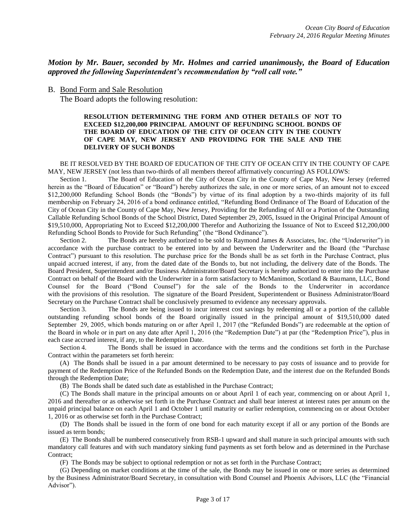### *Motion by Mr. Bauer, seconded by Mr. Holmes and carried unanimously, the Board of Education approved the following Superintendent's recommendation by "roll call vote."*

#### B. Bond Form and Sale Resolution

The Board adopts the following resolution:

#### **RESOLUTION DETERMINING THE FORM AND OTHER DETAILS OF NOT TO EXCEED \$12,200,000 PRINCIPAL AMOUNT OF REFUNDING SCHOOL BONDS OF THE BOARD OF EDUCATION OF THE CITY OF OCEAN CITY IN THE COUNTY OF CAPE MAY, NEW JERSEY AND PROVIDING FOR THE SALE AND THE DELIVERY OF SUCH BONDS**

#### BE IT RESOLVED BY THE BOARD OF EDUCATION OF THE CITY OF OCEAN CITY IN THE COUNTY OF CAPE MAY, NEW JERSEY (not less than two-thirds of all members thereof affirmatively concurring) AS FOLLOWS:

Section 1. The Board of Education of the City of Ocean City in the County of Cape May, New Jersey (referred herein as the "Board of Education" or "Board") hereby authorizes the sale, in one or more series, of an amount not to exceed \$12,200,000 Refunding School Bonds (the "Bonds") by virtue of its final adoption by a two-thirds majority of its full membership on February 24, 2016 of a bond ordinance entitled, "Refunding Bond Ordinance of The Board of Education of the City of Ocean City in the County of Cape May, New Jersey, Providing for the Refunding of All or a Portion of the Outstanding Callable Refunding School Bonds of the School District, Dated September 29, 2005, Issued in the Original Principal Amount of \$19,510,000, Appropriating Not to Exceed \$12,200,000 Therefor and Authorizing the Issuance of Not to Exceed \$12,200,000 Refunding School Bonds to Provide for Such Refunding" (the "Bond Ordinance").

Section 2. The Bonds are hereby authorized to be sold to Raymond James & Associates, Inc. (the "Underwriter") in accordance with the purchase contract to be entered into by and between the Underwriter and the Board (the "Purchase Contract") pursuant to this resolution. The purchase price for the Bonds shall be as set forth in the Purchase Contract, plus unpaid accrued interest, if any, from the dated date of the Bonds to, but not including, the delivery date of the Bonds. The Board President, Superintendent and/or Business Administrator/Board Secretary is hereby authorized to enter into the Purchase Contract on behalf of the Board with the Underwriter in a form satisfactory to McManimon, Scotland & Baumann, LLC, Bond Counsel for the Board ("Bond Counsel") for the sale of the Bonds to the Underwriter in accordance with the provisions of this resolution. The signature of the Board President, Superintendent or Business Administrator/Board Secretary on the Purchase Contract shall be conclusively presumed to evidence any necessary approvals.

Section 3. The Bonds are being issued to incur interest cost savings by redeeming all or a portion of the callable outstanding refunding school bonds of the Board originally issued in the principal amount of \$19,510,000 dated September 29, 2005, which bonds maturing on or after April 1, 2017 (the "Refunded Bonds") are redeemable at the option of the Board in whole or in part on any date after April 1, 2016 (the "Redemption Date") at par (the "Redemption Price"), plus in each case accrued interest, if any, to the Redemption Date.

Section 4. The Bonds shall be issued in accordance with the terms and the conditions set forth in the Purchase Contract within the parameters set forth herein:

(A) The Bonds shall be issued in a par amount determined to be necessary to pay costs of issuance and to provide for payment of the Redemption Price of the Refunded Bonds on the Redemption Date, and the interest due on the Refunded Bonds through the Redemption Date;

(B) The Bonds shall be dated such date as established in the Purchase Contract;

(C) The Bonds shall mature in the principal amounts on or about April 1 of each year, commencing on or about April 1, 2016 and thereafter or as otherwise set forth in the Purchase Contract and shall bear interest at interest rates per annum on the unpaid principal balance on each April 1 and October 1 until maturity or earlier redemption, commencing on or about October 1, 2016 or as otherwise set forth in the Purchase Contract;

(D) The Bonds shall be issued in the form of one bond for each maturity except if all or any portion of the Bonds are issued as term bonds;

(E) The Bonds shall be numbered consecutively from RSB-1 upward and shall mature in such principal amounts with such mandatory call features and with such mandatory sinking fund payments as set forth below and as determined in the Purchase Contract;

(F) The Bonds may be subject to optional redemption or not as set forth in the Purchase Contract;

(G) Depending on market conditions at the time of the sale, the Bonds may be issued in one or more series as determined by the Business Administrator/Board Secretary, in consultation with Bond Counsel and Phoenix Advisors, LLC (the "Financial Advisor").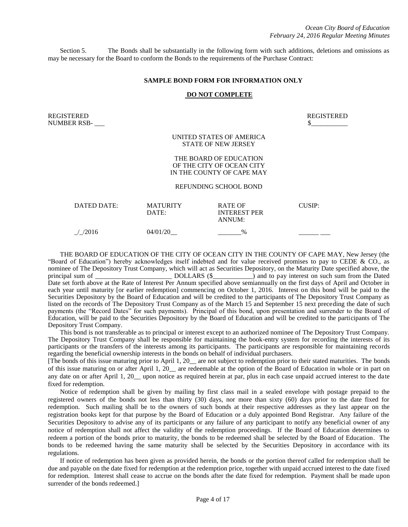Section 5. The Bonds shall be substantially in the following form with such additions, deletions and omissions as may be necessary for the Board to conform the Bonds to the requirements of the Purchase Contract:

#### **SAMPLE BOND FORM FOR INFORMATION ONLY**

#### **DO NOT COMPLETE**

REGISTERED REGISTERED NUMBER RSB- \_\_\_ \$\_\_\_\_\_\_\_\_\_\_\_

UNITED STATES OF AMERICA STATE OF NEW JERSEY

#### THE BOARD OF EDUCATION OF THE CITY OF OCEAN CITY IN THE COUNTY OF CAPE MAY

#### REFUNDING SCHOOL BOND

| DATED DATE:      | <b>MATURITY</b><br>DATE: | <b>RATE OF</b><br><b>INTEREST PER</b><br>ANNUM: | CUSIP: |
|------------------|--------------------------|-------------------------------------------------|--------|
| $\frac{1}{2016}$ | 04/01/20                 | $\frac{0}{0}$                                   |        |

THE BOARD OF EDUCATION OF THE CITY OF OCEAN CITY IN THE COUNTY OF CAPE MAY, New Jersey (the "Board of Education") hereby acknowledges itself indebted and for value received promises to pay to CEDE & CO., as nominee of The Depository Trust Company, which will act as Securities Depository, on the Maturity Date specified above, the principal sum of DOLLARS (\$ principal sum of \_\_\_\_\_\_\_\_\_\_\_\_\_\_\_\_\_\_\_\_\_\_\_ DOLLARS (\$\_\_\_\_\_\_\_\_\_\_\_\_) and to pay interest on such sum from the Dated Date set forth above at the Rate of Interest Per Annum specified above semiannually on the first days of April and October in each year until maturity [or earlier redemption] commencing on October 1, 2016. Interest on this bond will be paid to the Securities Depository by the Board of Education and will be credited to the participants of The Depository Trust Company as listed on the records of The Depository Trust Company as of the March 15 and September 15 next preceding the date of such payments (the "Record Dates" for such payments). Principal of this bond, upon presentation and surrender to the Board of Education, will be paid to the Securities Depository by the Board of Education and will be credited to the participants of The Depository Trust Company.

This bond is not transferable as to principal or interest except to an authorized nominee of The Depository Trust Company. The Depository Trust Company shall be responsible for maintaining the book-entry system for recording the interests of its participants or the transfers of the interests among its participants. The participants are responsible for maintaining records regarding the beneficial ownership interests in the bonds on behalf of individual purchasers.

[The bonds of this issue maturing prior to April 1, 20\_\_ are not subject to redemption prior to their stated maturities. The bonds of this issue maturing on or after April 1, 20\_\_ are redeemable at the option of the Board of Education in whole or in part on any date on or after April 1, 20\_\_ upon notice as required herein at par, plus in each case unpaid accrued interest to the date fixed for redemption.

Notice of redemption shall be given by mailing by first class mail in a sealed envelope with postage prepaid to the registered owners of the bonds not less than thirty (30) days, nor more than sixty (60) days prior to the date fixed for redemption. Such mailing shall be to the owners of such bonds at their respective addresses as they last appear on the registration books kept for that purpose by the Board of Education or a duly appointed Bond Registrar. Any failure of the Securities Depository to advise any of its participants or any failure of any participant to notify any beneficial owner of any notice of redemption shall not affect the validity of the redemption proceedings. If the Board of Education determines to redeem a portion of the bonds prior to maturity, the bonds to be redeemed shall be selected by the Board of Education. The bonds to be redeemed having the same maturity shall be selected by the Securities Depository in accordance with its regulations.

If notice of redemption has been given as provided herein, the bonds or the portion thereof called for redemption shall be due and payable on the date fixed for redemption at the redemption price, together with unpaid accrued interest to the date fixed for redemption. Interest shall cease to accrue on the bonds after the date fixed for redemption. Payment shall be made upon surrender of the bonds redeemed.]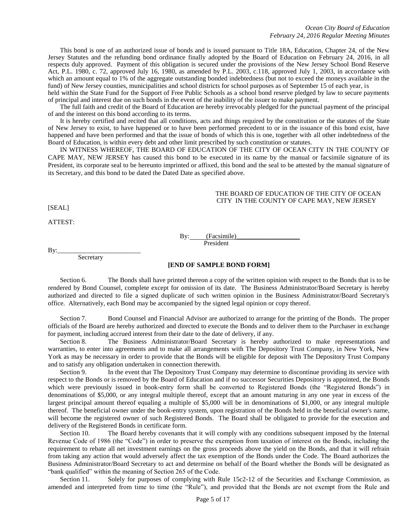This bond is one of an authorized issue of bonds and is issued pursuant to Title 18A, Education, Chapter 24, of the New Jersey Statutes and the refunding bond ordinance finally adopted by the Board of Education on February 24, 2016, in all respects duly approved. Payment of this obligation is secured under the provisions of the New Jersey School Bond Reserve Act, P.L. 1980, c. 72, approved July 16, 1980, as amended by P.L. 2003, c.118, approved July 1, 2003, in accordance with which an amount equal to 1% of the aggregate outstanding bonded indebtedness (but not to exceed the moneys available in the fund) of New Jersey counties, municipalities and school districts for school purposes as of September 15 of each year, is

held within the State Fund for the Support of Free Public Schools as a school bond reserve pledged by law to secure payments of principal and interest due on such bonds in the event of the inability of the issuer to make payment.

The full faith and credit of the Board of Education are hereby irrevocably pledged for the punctual payment of the principal of and the interest on this bond according to its terms.

It is hereby certified and recited that all conditions, acts and things required by the constitution or the statutes of the State of New Jersey to exist, to have happened or to have been performed precedent to or in the issuance of this bond exist, have happened and have been performed and that the issue of bonds of which this is one, together with all other indebtedness of the Board of Education, is within every debt and other limit prescribed by such constitution or statutes.

IN WITNESS WHEREOF, THE BOARD OF EDUCATION OF THE CITY OF OCEAN CITY IN THE COUNTY OF CAPE MAY, NEW JERSEY has caused this bond to be executed in its name by the manual or facsimile signature of its President, its corporate seal to be hereunto imprinted or affixed, this bond and the seal to be attested by the manual signature of its Secretary, and this bond to be dated the Dated Date as specified above.

#### THE BOARD OF EDUCATION OF THE CITY OF OCEAN CITY IN THE COUNTY OF CAPE MAY, NEW JERSEY

[SEAL]

ATTEST:

By: (Facsimile) President

By:\_\_\_\_\_\_\_\_\_\_\_\_\_\_\_\_\_\_\_\_\_\_\_\_\_

Secretary

#### **[END OF SAMPLE BOND FORM]**

Section 6. The Bonds shall have printed thereon a copy of the written opinion with respect to the Bonds that is to be rendered by Bond Counsel, complete except for omission of its date. The Business Administrator/Board Secretary is hereby authorized and directed to file a signed duplicate of such written opinion in the Business Administrator/Board Secretary's office. Alternatively, each Bond may be accompanied by the signed legal opinion or copy thereof.

Section 7. Bond Counsel and Financial Advisor are authorized to arrange for the printing of the Bonds. The proper officials of the Board are hereby authorized and directed to execute the Bonds and to deliver them to the Purchaser in exchange for payment, including accrued interest from their date to the date of delivery, if any.

Section 8. The Business Administrator/Board Secretary is hereby authorized to make representations and warranties, to enter into agreements and to make all arrangements with The Depository Trust Company, in New York, New York as may be necessary in order to provide that the Bonds will be eligible for deposit with The Depository Trust Company and to satisfy any obligation undertaken in connection therewith.

Section 9. In the event that The Depository Trust Company may determine to discontinue providing its service with respect to the Bonds or is removed by the Board of Education and if no successor Securities Depository is appointed, the Bonds which were previously issued in book-entry form shall be converted to Registered Bonds (the "Registered Bonds") in denominations of \$5,000, or any integral multiple thereof, except that an amount maturing in any one year in excess of the largest principal amount thereof equaling a multiple of \$5,000 will be in denominations of \$1,000, or any integral multiple thereof. The beneficial owner under the book-entry system, upon registration of the Bonds held in the beneficial owner's name, will become the registered owner of such Registered Bonds. The Board shall be obligated to provide for the execution and delivery of the Registered Bonds in certificate form.

Section 10. The Board hereby covenants that it will comply with any conditions subsequent imposed by the Internal Revenue Code of 1986 (the "Code") in order to preserve the exemption from taxation of interest on the Bonds, including the requirement to rebate all net investment earnings on the gross proceeds above the yield on the Bonds, and that it will refrain from taking any action that would adversely affect the tax exemption of the Bonds under the Code. The Board authorizes the Business Administrator/Board Secretary to act and determine on behalf of the Board whether the Bonds will be designated as "bank qualified" within the meaning of Section 265 of the Code.

Section 11. Solely for purposes of complying with Rule 15c2-12 of the Securities and Exchange Commission, as amended and interpreted from time to time (the "Rule"), and provided that the Bonds are not exempt from the Rule and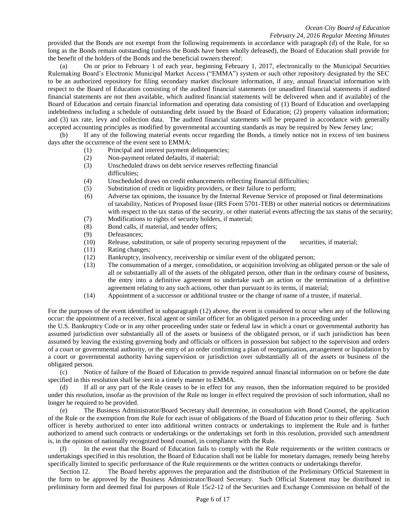#### *Ocean City Board of Education February 24, 2016 Regular Meeting Minutes*

provided that the Bonds are not exempt from the following requirements in accordance with paragraph (d) of the Rule, for so long as the Bonds remain outstanding (unless the Bonds have been wholly defeased), the Board of Education shall provide for the benefit of the holders of the Bonds and the beneficial owners thereof:

(a) On or prior to February 1 of each year, beginning February 1, 2017, electronically to the Municipal Securities Rulemaking Board's Electronic Municipal Market Access ("EMMA") system or such other repository designated by the SEC to be an authorized repository for filing secondary market disclosure information, if any, annual financial information with respect to the Board of Education consisting of the audited financial statements (or unaudited financial statements if audited financial statements are not then available, which audited financial statements will be delivered when and if available) of the Board of Education and certain financial information and operating data consisting of (1) Board of Education and overlapping indebtedness including a schedule of outstanding debt issued by the Board of Education; (2) property valuation information; and (3) tax rate, levy and collection data. The audited financial statements will be prepared in accordance with generally accepted accounting principles as modified by governmental accounting standards as may be required by New Jersey law;

(b) If any of the following material events occur regarding the Bonds, a timely notice not in excess of ten business days after the occurrence of the event sent to EMMA:

- (1) Principal and interest payment delinquencies;
- (2) Non-payment related defaults, if material;
- (3) Unscheduled draws on debt service reserves reflecting financial difficulties;
- (4) Unscheduled draws on credit enhancements reflecting financial difficulties;
- (5) Substitution of credit or liquidity providers, or their failure to perform;
- (6) Adverse tax opinions, the issuance by the Internal Revenue Service of proposed or final determinations of taxability, Notices of Proposed Issue (IRS Form 5701-TEB) or other material notices or determinations with respect to the tax status of the security, or other material events affecting the tax status of the security;
- (7) Modifications to rights of security holders, if material;
- (8) Bond calls, if material, and tender offers;
- (9) Defeasances;
- (10) Release, substitution, or sale of property securing repayment of the securities, if material;
- (11) Rating changes;
- (12) Bankruptcy, insolvency, receivership or similar event of the obligated person;
- (13) The consummation of a merger, consolidation, or acquisition involving an obligated person or the sale of all or substantially all of the assets of the obligated person, other than in the ordinary course of business, the entry into a definitive agreement to undertake such an action or the termination of a definitive agreement relating to any such actions, other than pursuant to its terms, if material;
- (14) Appointment of a successor or additional trustee or the change of name of a trustee, if material.

For the purposes of the event identified in subparagraph (12) above, the event is considered to occur when any of the following occur: the appointment of a receiver, fiscal agent or similar officer for an obligated person in a proceeding under

the U.S. Bankruptcy Code or in any other proceeding under state or federal law in which a court or governmental authority has assumed jurisdiction over substantially all of the assets or business of the obligated person, or if such jurisdiction has been assumed by leaving the existing governing body and officials or officers in possession but subject to the supervision and orders of a court or governmental authority, or the entry of an order confirming a plan of reorganization, arrangement or liquidation by a court or governmental authority having supervision or jurisdiction over substantially all of the assets or business of the obligated person.

(c) Notice of failure of the Board of Education to provide required annual financial information on or before the date specified in this resolution shall be sent in a timely manner to EMMA.

(d) If all or any part of the Rule ceases to be in effect for any reason, then the information required to be provided under this resolution, insofar as the provision of the Rule no longer in effect required the provision of such information, shall no longer be required to be provided.

(e) The Business Administrator/Board Secretary shall determine, in consultation with Bond Counsel, the application of the Rule or the exemption from the Rule for each issue of obligations of the Board of Education prior to their offering. Such officer is hereby authorized to enter into additional written contracts or undertakings to implement the Rule and is further authorized to amend such contracts or undertakings or the undertakings set forth in this resolution, provided such amendment is, in the opinion of nationally recognized bond counsel, in compliance with the Rule.

(f) In the event that the Board of Education fails to comply with the Rule requirements or the written contracts or undertakings specified in this resolution, the Board of Education shall not be liable for monetary damages, remedy being hereby specifically limited to specific performance of the Rule requirements or the written contracts or undertakings therefor.

Section 12. The Board hereby approves the preparation and the distribution of the Preliminary Official Statement in the form to be approved by the Business Administrator/Board Secretary. Such Official Statement may be distributed in preliminary form and deemed final for purposes of Rule 15c2-12 of the Securities and Exchange Commission on behalf of the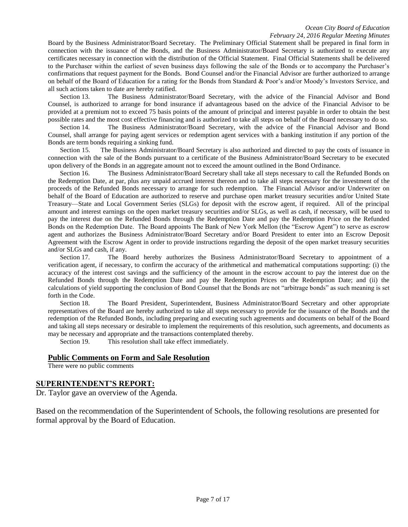Board by the Business Administrator/Board Secretary. The Preliminary Official Statement shall be prepared in final form in connection with the issuance of the Bonds, and the Business Administrator/Board Secretary is authorized to execute any certificates necessary in connection with the distribution of the Official Statement. Final Official Statements shall be delivered to the Purchaser within the earliest of seven business days following the sale of the Bonds or to accompany the Purchaser's confirmations that request payment for the Bonds. Bond Counsel and/or the Financial Advisor are further authorized to arrange on behalf of the Board of Education for a rating for the Bonds from Standard & Poor's and/or Moody's Investors Service, and all such actions taken to date are hereby ratified.

Section 13. The Business Administrator/Board Secretary, with the advice of the Financial Advisor and Bond Counsel, is authorized to arrange for bond insurance if advantageous based on the advice of the Financial Advisor to be provided at a premium not to exceed 75 basis points of the amount of principal and interest payable in order to obtain the best possible rates and the most cost effective financing and is authorized to take all steps on behalf of the Board necessary to do so.

Section 14. The Business Administrator/Board Secretary, with the advice of the Financial Advisor and Bond Counsel, shall arrange for paying agent services or redemption agent services with a banking institution if any portion of the Bonds are term bonds requiring a sinking fund.

Section 15. The Business Administrator/Board Secretary is also authorized and directed to pay the costs of issuance in connection with the sale of the Bonds pursuant to a certificate of the Business Administrator/Board Secretary to be executed upon delivery of the Bonds in an aggregate amount not to exceed the amount outlined in the Bond Ordinance.

Section 16. The Business Administrator/Board Secretary shall take all steps necessary to call the Refunded Bonds on the Redemption Date, at par, plus any unpaid accrued interest thereon and to take all steps necessary for the investment of the proceeds of the Refunded Bonds necessary to arrange for such redemption. The Financial Advisor and/or Underwriter on behalf of the Board of Education are authorized to reserve and purchase open market treasury securities and/or United State Treasury—State and Local Government Series (SLGs) for deposit with the escrow agent, if required. All of the principal amount and interest earnings on the open market treasury securities and/or SLGs, as well as cash, if necessary, will be used to pay the interest due on the Refunded Bonds through the Redemption Date and pay the Redemption Price on the Refunded Bonds on the Redemption Date. The Board appoints The Bank of New York Mellon (the "Escrow Agent") to serve as escrow agent and authorizes the Business Administrator/Board Secretary and/or Board President to enter into an Escrow Deposit Agreement with the Escrow Agent in order to provide instructions regarding the deposit of the open market treasury securities and/or SLGs and cash, if any.

Section 17. The Board hereby authorizes the Business Administrator/Board Secretary to appointment of a verification agent, if necessary, to confirm the accuracy of the arithmetical and mathematical computations supporting: (i) the accuracy of the interest cost savings and the sufficiency of the amount in the escrow account to pay the interest due on the Refunded Bonds through the Redemption Date and pay the Redemption Prices on the Redemption Date; and (ii) the calculations of yield supporting the conclusion of Bond Counsel that the Bonds are not "arbitrage bonds" as such meaning is set forth in the Code.

Section 18. The Board President, Superintendent, Business Administrator/Board Secretary and other appropriate representatives of the Board are hereby authorized to take all steps necessary to provide for the issuance of the Bonds and the redemption of the Refunded Bonds, including preparing and executing such agreements and documents on behalf of the Board and taking all steps necessary or desirable to implement the requirements of this resolution, such agreements, and documents as may be necessary and appropriate and the transactions contemplated thereby.

Section 19. This resolution shall take effect immediately.

#### **Public Comments on Form and Sale Resolution**

There were no public comments

### **SUPERINTENDENT'S REPORT:**

Dr. Taylor gave an overview of the Agenda.

Based on the recommendation of the Superintendent of Schools, the following resolutions are presented for formal approval by the Board of Education.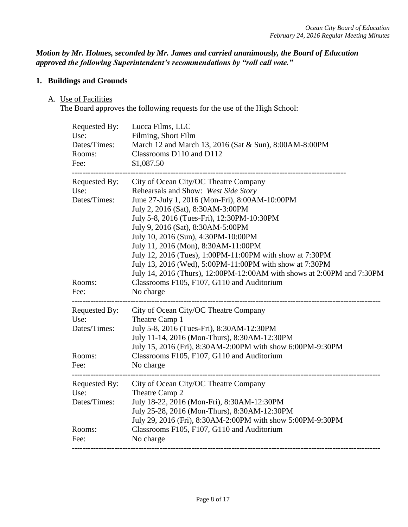*Motion by Mr. Holmes, seconded by Mr. James and carried unanimously, the Board of Education approved the following Superintendent's recommendations by "roll call vote."* 

## **1. Buildings and Grounds**

A. Use of Facilities

The Board approves the following requests for the use of the High School:

| Requested By:<br>Use:<br>Dates/Times:<br>Rooms:<br>Fee: | Lucca Films, LLC<br>Filming, Short Film<br>March 12 and March 13, 2016 (Sat & Sun), 8:00AM-8:00PM<br>Classrooms D110 and D112<br>\$1,087.50                                                                                                                                                                                                                                                                                                                                                                                            |
|---------------------------------------------------------|----------------------------------------------------------------------------------------------------------------------------------------------------------------------------------------------------------------------------------------------------------------------------------------------------------------------------------------------------------------------------------------------------------------------------------------------------------------------------------------------------------------------------------------|
| Requested By:<br>Use:<br>Dates/Times:                   | City of Ocean City/OC Theatre Company<br>Rehearsals and Show: West Side Story<br>June 27-July 1, 2016 (Mon-Fri), 8:00AM-10:00PM<br>July 2, 2016 (Sat), 8:30AM-3:00PM<br>July 5-8, 2016 (Tues-Fri), 12:30PM-10:30PM<br>July 9, 2016 (Sat), 8:30AM-5:00PM<br>July 10, 2016 (Sun), 4:30PM-10:00PM<br>July 11, 2016 (Mon), 8:30AM-11:00PM<br>July 12, 2016 (Tues), 1:00PM-11:00PM with show at 7:30PM<br>July 13, 2016 (Wed), 5:00PM-11:00PM with show at 7:30PM<br>July 14, 2016 (Thurs), 12:00PM-12:00AM with shows at 2:00PM and 7:30PM |
| Rooms:<br>Fee:                                          | Classrooms F105, F107, G110 and Auditorium<br>No charge                                                                                                                                                                                                                                                                                                                                                                                                                                                                                |
| Requested By:<br>Use:<br>Dates/Times:                   | City of Ocean City/OC Theatre Company<br>Theatre Camp 1<br>July 5-8, 2016 (Tues-Fri), 8:30AM-12:30PM<br>July 11-14, 2016 (Mon-Thurs), 8:30AM-12:30PM                                                                                                                                                                                                                                                                                                                                                                                   |
| Rooms:<br>Fee:                                          | July 15, 2016 (Fri), 8:30AM-2:00PM with show 6:00PM-9:30PM<br>Classrooms F105, F107, G110 and Auditorium<br>No charge                                                                                                                                                                                                                                                                                                                                                                                                                  |
| Requested By:<br>Use:<br>Dates/Times:                   | City of Ocean City/OC Theatre Company<br>Theatre Camp 2<br>July 18-22, 2016 (Mon-Fri), 8:30AM-12:30PM<br>July 25-28, 2016 (Mon-Thurs), 8:30AM-12:30PM<br>July 29, 2016 (Fri), 8:30AM-2:00PM with show 5:00PM-9:30PM                                                                                                                                                                                                                                                                                                                    |
| Rooms:<br>Fee:                                          | Classrooms F105, F107, G110 and Auditorium<br>No charge                                                                                                                                                                                                                                                                                                                                                                                                                                                                                |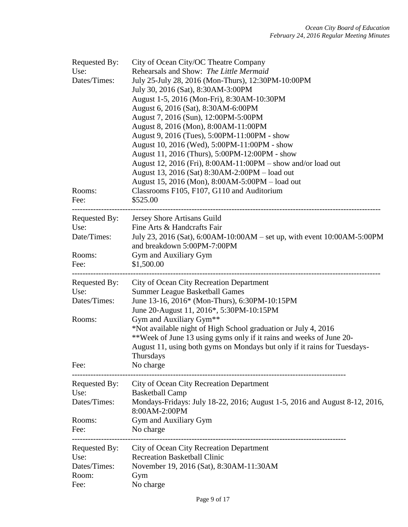| Requested By:<br>Use:<br>Dates/Times:<br>Rooms:<br>Fee: | City of Ocean City/OC Theatre Company<br>Rehearsals and Show: The Little Mermaid<br>July 25-July 28, 2016 (Mon-Thurs), 12:30PM-10:00PM<br>July 30, 2016 (Sat), 8:30AM-3:00PM<br>August 1-5, 2016 (Mon-Fri), 8:30AM-10:30PM<br>August 6, 2016 (Sat), 8:30AM-6:00PM<br>August 7, 2016 (Sun), 12:00PM-5:00PM<br>August 8, 2016 (Mon), 8:00AM-11:00PM<br>August 9, 2016 (Tues), 5:00PM-11:00PM - show<br>August 10, 2016 (Wed), 5:00PM-11:00PM - show<br>August 11, 2016 (Thurs), 5:00PM-12:00PM - show<br>August 12, 2016 (Fri), 8:00AM-11:00PM – show and/or load out<br>August 13, 2016 (Sat) 8:30AM-2:00PM - load out<br>August 15, 2016 (Mon), 8:00AM-5:00PM – load out<br>Classrooms F105, F107, G110 and Auditorium<br>\$525.00 |
|---------------------------------------------------------|------------------------------------------------------------------------------------------------------------------------------------------------------------------------------------------------------------------------------------------------------------------------------------------------------------------------------------------------------------------------------------------------------------------------------------------------------------------------------------------------------------------------------------------------------------------------------------------------------------------------------------------------------------------------------------------------------------------------------------|
| Requested By:<br>Use:<br>Date/Times:<br>Rooms:<br>Fee:  | Jersey Shore Artisans Guild<br>Fine Arts & Handcrafts Fair<br>July 23, 2016 (Sat), 6:00AM-10:00AM – set up, with event 10:00AM-5:00PM<br>and breakdown 5:00PM-7:00PM<br>Gym and Auxiliary Gym<br>\$1,500.00                                                                                                                                                                                                                                                                                                                                                                                                                                                                                                                        |
| Requested By:<br>Use:<br>Dates/Times:<br>Rooms:<br>Fee: | City of Ocean City Recreation Department<br><b>Summer League Basketball Games</b><br>June 13-16, 2016* (Mon-Thurs), 6:30PM-10:15PM<br>June 20-August 11, 2016*, 5:30PM-10:15PM<br>Gym and Auxiliary Gym <sup>**</sup><br>*Not available night of High School graduation or July 4, 2016<br>**Week of June 13 using gyms only if it rains and weeks of June 20-<br>August 11, using both gyms on Mondays but only if it rains for Tuesdays-<br>Thursdays<br>No charge                                                                                                                                                                                                                                                               |
| Requested By:<br>Use:<br>Dates/Times:<br>Rooms:<br>Fee: | City of Ocean City Recreation Department<br><b>Basketball Camp</b><br>Mondays-Fridays: July 18-22, 2016; August 1-5, 2016 and August 8-12, 2016,<br>8:00AM-2:00PM<br>Gym and Auxiliary Gym<br>No charge                                                                                                                                                                                                                                                                                                                                                                                                                                                                                                                            |
| Requested By:<br>Use:<br>Dates/Times:<br>Room:<br>Fee:  | <b>City of Ocean City Recreation Department</b><br><b>Recreation Basketball Clinic</b><br>November 19, 2016 (Sat), 8:30AM-11:30AM<br>Gym<br>No charge                                                                                                                                                                                                                                                                                                                                                                                                                                                                                                                                                                              |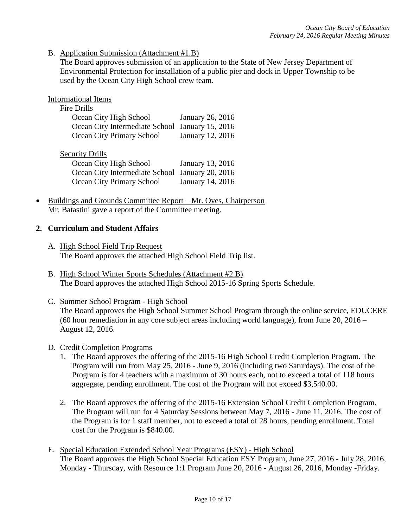B. Application Submission (Attachment #1.B)

The Board approves submission of an application to the State of New Jersey Department of Environmental Protection for installation of a public pier and dock in Upper Township to be used by the Ocean City High School crew team.

Informational Items

# Fire Drills

| Ocean City High School                          | January 26, 2016 |
|-------------------------------------------------|------------------|
| Ocean City Intermediate School January 15, 2016 |                  |
| Ocean City Primary School                       | January 12, 2016 |

## Security Drills

| Ocean City High School                          | January 13, 2016 |
|-------------------------------------------------|------------------|
| Ocean City Intermediate School January 20, 2016 |                  |
| Ocean City Primary School                       | January 14, 2016 |

 Buildings and Grounds Committee Report – Mr. Oves, Chairperson Mr. Batastini gave a report of the Committee meeting.

## **2. Curriculum and Student Affairs**

- A. High School Field Trip Request The Board approves the attached High School Field Trip list.
- B. High School Winter Sports Schedules (Attachment #2.B) The Board approves the attached High School 2015-16 Spring Sports Schedule.
- C. Summer School Program High School The Board approves the High School Summer School Program through the online service, EDUCERE (60 hour remediation in any core subject areas including world language), from June 20, 2016 – August 12, 2016.
- D. Credit Completion Programs
	- 1. The Board approves the offering of the 2015-16 High School Credit Completion Program. The Program will run from May 25, 2016 - June 9, 2016 (including two Saturdays). The cost of the Program is for 4 teachers with a maximum of 30 hours each, not to exceed a total of 118 hours aggregate, pending enrollment. The cost of the Program will not exceed \$3,540.00.
	- 2. The Board approves the offering of the 2015-16 Extension School Credit Completion Program. The Program will run for 4 Saturday Sessions between May 7, 2016 - June 11, 2016. The cost of the Program is for 1 staff member, not to exceed a total of 28 hours, pending enrollment. Total cost for the Program is \$840.00.
- E. Special Education Extended School Year Programs (ESY) High School The Board approves the High School Special Education ESY Program, June 27, 2016 - July 28, 2016, Monday - Thursday, with Resource 1:1 Program June 20, 2016 - August 26, 2016, Monday -Friday.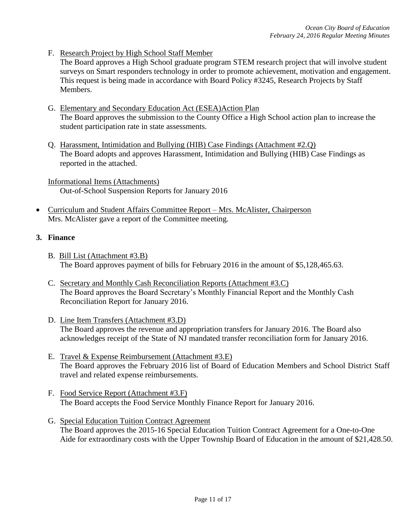F. Research Project by High School Staff Member

The Board approves a High School graduate program STEM research project that will involve student surveys on Smart responders technology in order to promote achievement, motivation and engagement. This request is being made in accordance with Board Policy #3245, Research Projects by Staff Members.

- G. Elementary and Secondary Education Act (ESEA)Action Plan The Board approves the submission to the County Office a High School action plan to increase the student participation rate in state assessments.
- Q. Harassment, Intimidation and Bullying (HIB) Case Findings (Attachment #2.Q) The Board adopts and approves Harassment, Intimidation and Bullying (HIB) Case Findings as reported in the attached.

Informational Items (Attachments) Out-of-School Suspension Reports for January 2016

 Curriculum and Student Affairs Committee Report – Mrs. McAlister, Chairperson Mrs. McAlister gave a report of the Committee meeting.

## **3. Finance**

- B. Bill List (Attachment #3.B) The Board approves payment of bills for February 2016 in the amount of \$5,128,465.63.
- C. Secretary and Monthly Cash Reconciliation Reports (Attachment #3.C) The Board approves the Board Secretary's Monthly Financial Report and the Monthly Cash Reconciliation Report for January 2016.
- D. Line Item Transfers (Attachment #3.D) The Board approves the revenue and appropriation transfers for January 2016. The Board also acknowledges receipt of the State of NJ mandated transfer reconciliation form for January 2016.
- E. Travel & Expense Reimbursement (Attachment #3.E) The Board approves the February 2016 list of Board of Education Members and School District Staff travel and related expense reimbursements.
- F. Food Service Report (Attachment #3.F) The Board accepts the Food Service Monthly Finance Report for January 2016.
- G. Special Education Tuition Contract Agreement The Board approves the 2015-16 Special Education Tuition Contract Agreement for a One-to-One Aide for extraordinary costs with the Upper Township Board of Education in the amount of \$21,428.50.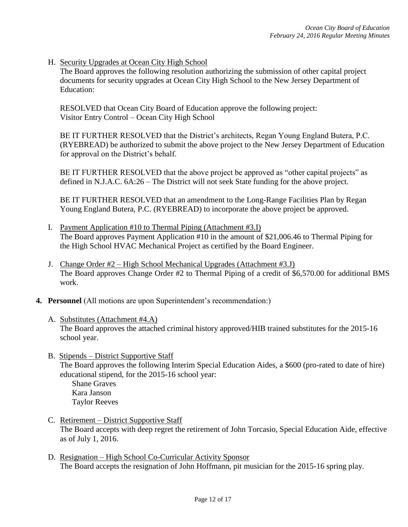H. Security Upgrades at Ocean City High School

The Board approves the following resolution authorizing the submission of other capital project documents for security upgrades at Ocean City High School to the New Jersey Department of Education:

RESOLVED that Ocean City Board of Education approve the following project: Visitor Entry Control – Ocean City High School

BE IT FURTHER RESOLVED that the District's architects, Regan Young England Butera, P.C. (RYEBREAD) be authorized to submit the above project to the New Jersey Department of Education for approval on the District's behalf.

BE IT FURTHER RESOLVED that the above project be approved as "other capital projects" as defined in N.J.A.C. 6A:26 – The District will not seek State funding for the above project.

BE IT FURTHER RESOLVED that an amendment to the Long-Range Facilities Plan by Regan Young England Butera, P.C. (RYEBREAD) to incorporate the above project be approved.

- I. Payment Application #10 to Thermal Piping (Attachment #3.I) The Board approves Payment Application #10 in the amount of \$21,006.46 to Thermal Piping for the High School HVAC Mechanical Project as certified by the Board Engineer.
- J. Change Order #2 High School Mechanical Upgrades (Attachment #3.J) The Board approves Change Order #2 to Thermal Piping of a credit of \$6,570.00 for additional BMS work.
- **4. Personnel** (All motions are upon Superintendent's recommendation:)
	- A. Substitutes (Attachment #4.A) The Board approves the attached criminal history approved/HIB trained substitutes for the 2015-16 school year.
	- B. Stipends District Supportive Staff The Board approves the following Interim Special Education Aides, a \$600 (pro-rated to date of hire) educational stipend, for the 2015-16 school year:

Shane Graves Kara Janson Taylor Reeves

- C. Retirement District Supportive Staff The Board accepts with deep regret the retirement of John Torcasio, Special Education Aide, effective as of July 1, 2016.
- D. Resignation High School Co-Curricular Activity Sponsor The Board accepts the resignation of John Hoffmann, pit musician for the 2015-16 spring play.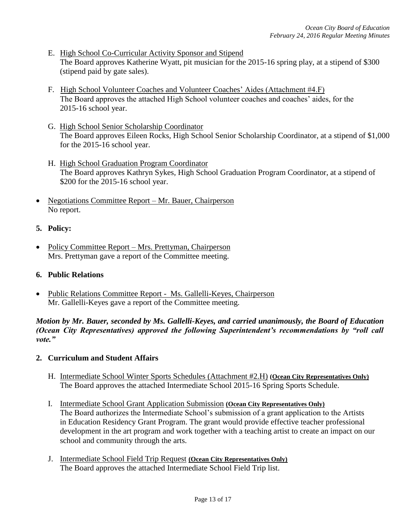- E. High School Co-Curricular Activity Sponsor and Stipend The Board approves Katherine Wyatt, pit musician for the 2015-16 spring play, at a stipend of \$300 (stipend paid by gate sales).
- F. High School Volunteer Coaches and Volunteer Coaches' Aides (Attachment #4.F) The Board approves the attached High School volunteer coaches and coaches' aides, for the 2015-16 school year.
- G. High School Senior Scholarship Coordinator The Board approves Eileen Rocks, High School Senior Scholarship Coordinator, at a stipend of \$1,000 for the 2015-16 school year.
- H. High School Graduation Program Coordinator The Board approves Kathryn Sykes*,* High School Graduation Program Coordinator, at a stipend of \$200 for the 2015-16 school year.
- Negotiations Committee Report Mr. Bauer, Chairperson No report.

## **5. Policy:**

• Policy Committee Report – Mrs. Prettyman, Chairperson Mrs. Prettyman gave a report of the Committee meeting.

## **6. Public Relations**

• Public Relations Committee Report - Ms. Gallelli-Keyes, Chairperson Mr. Gallelli-Keyes gave a report of the Committee meeting.

*Motion by Mr. Bauer, seconded by Ms. Gallelli-Keyes, and carried unanimously, the Board of Education (Ocean City Representatives) approved the following Superintendent's recommendations by "roll call vote."* 

## **2. Curriculum and Student Affairs**

- H. Intermediate School Winter Sports Schedules (Attachment #2.H) **(Ocean City Representatives Only)** The Board approves the attached Intermediate School 2015-16 Spring Sports Schedule.
- I. Intermediate School Grant Application Submission **(Ocean City Representatives Only)** The Board authorizes the Intermediate School's submission of a grant application to the Artists in Education Residency Grant Program. The grant would provide effective teacher professional development in the art program and work together with a teaching artist to create an impact on our school and community through the arts.
- J. Intermediate School Field Trip Request **(Ocean City Representatives Only)** The Board approves the attached Intermediate School Field Trip list.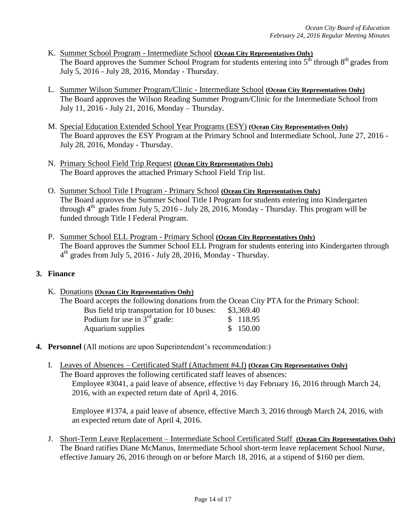- K. Summer School Program Intermediate School **(Ocean City Representatives Only)** The Board approves the Summer School Program for students entering into  $5<sup>th</sup>$  through  $8<sup>th</sup>$  grades from July 5, 2016 - July 28, 2016, Monday - Thursday.
- L. Summer Wilson Summer Program/Clinic Intermediate School **(Ocean City Representatives Only)** The Board approves the Wilson Reading Summer Program/Clinic for the Intermediate School from July 11, 2016 - July 21, 2016, Monday – Thursday.
- M. Special Education Extended School Year Programs (ESY) **(Ocean City Representatives Only)**  The Board approves the ESY Program at the Primary School and Intermediate School, June 27, 2016 - July 28, 2016, Monday - Thursday.
- N. Primary School Field Trip Request **(Ocean City Representatives Only)** The Board approves the attached Primary School Field Trip list.
- O. Summer School Title I Program Primary School **(Ocean City Representatives Only)** The Board approves the Summer School Title I Program for students entering into Kindergarten through  $4<sup>th</sup>$  grades from July 5, 2016 - July 28, 2016, Monday - Thursday. This program will be funded through Title I Federal Program.
- P. Summer School ELL Program Primary School **(Ocean City Representatives Only)** The Board approves the Summer School ELL Program for students entering into Kindergarten through 4 th grades from July 5, 2016 - July 28, 2016, Monday - Thursday.

## **3. Finance**

- K. Donations **(Ocean City Representatives Only)** The Board accepts the following donations from the Ocean City PTA for the Primary School: Bus field trip transportation for 10 buses: \$3,369.40 Podium for use in  $3<sup>rd</sup>$  grade:  $$ 118.95$ Aquarium supplies  $$ 150.00$
- **4. Personnel** (All motions are upon Superintendent's recommendation:)
	- I. Leaves of Absences Certificated Staff (Attachment #4.I) **(Ocean City Representatives Only)** The Board approves the following certificated staff leaves of absences: Employee #3041, a paid leave of absence, effective ½ day February 16, 2016 through March 24, 2016, with an expected return date of April 4, 2016.

Employee #1374, a paid leave of absence, effective March 3, 2016 through March 24, 2016, with an expected return date of April 4, 2016.

J. Short-Term Leave Replacement – Intermediate School Certificated Staff **(Ocean City Representatives Only)** The Board ratifies Diane McManus, Intermediate School short-term leave replacement School Nurse, effective January 26, 2016 through on or before March 18, 2016, at a stipend of \$160 per diem.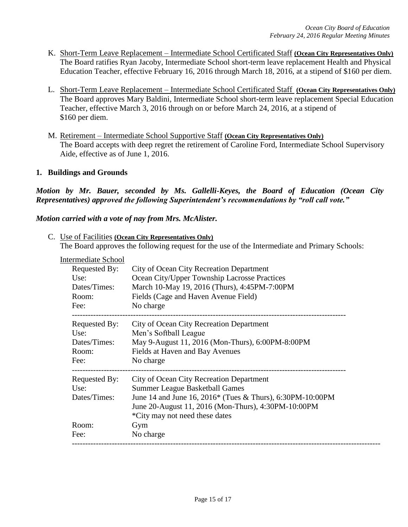- K. Short-Term Leave Replacement Intermediate School Certificated Staff **(Ocean City Representatives Only)** The Board ratifies Ryan Jacoby*,* Intermediate School short-term leave replacement Health and Physical Education Teacher, effective February 16, 2016 through March 18, 2016, at a stipend of \$160 per diem.
- L. Short-Term Leave Replacement Intermediate School Certificated Staff **(Ocean City Representatives Only)** The Board approves Mary Baldini*,* Intermediate School short-term leave replacement Special Education Teacher, effective March 3, 2016 through on or before March 24, 2016, at a stipend of \$160 per diem.
- M. Retirement Intermediate School Supportive Staff **(Ocean City Representatives Only)** The Board accepts with deep regret the retirement of Caroline Ford, Intermediate School Supervisory Aide, effective as of June 1, 2016.

### **1. Buildings and Grounds**

*Motion by Mr. Bauer, seconded by Ms. Gallelli-Keyes, the Board of Education (Ocean City Representatives) approved the following Superintendent's recommendations by "roll call vote."* 

*Motion carried with a vote of nay from Mrs. McAlister.*

C. Use of Facilities **(Ocean City Representatives Only)** The Board approves the following request for the use of the Intermediate and Primary Schools:

Intermediate School

| Requested By:                         | City of Ocean City Recreation Department                                                                                                                                                                                                |
|---------------------------------------|-----------------------------------------------------------------------------------------------------------------------------------------------------------------------------------------------------------------------------------------|
| Use:                                  | Ocean City/Upper Township Lacrosse Practices                                                                                                                                                                                            |
| Dates/Times:                          | March 10-May 19, 2016 (Thurs), 4:45PM-7:00PM                                                                                                                                                                                            |
| Room:                                 | Fields (Cage and Haven Avenue Field)                                                                                                                                                                                                    |
| Fee:                                  | No charge                                                                                                                                                                                                                               |
| Requested By:                         | City of Ocean City Recreation Department                                                                                                                                                                                                |
| Use:                                  | Men's Softball League                                                                                                                                                                                                                   |
| Dates/Times:                          | May 9-August 11, 2016 (Mon-Thurs), 6:00PM-8:00PM                                                                                                                                                                                        |
| Room:                                 | Fields at Haven and Bay Avenues                                                                                                                                                                                                         |
| Fee:                                  | No charge                                                                                                                                                                                                                               |
| Requested By:<br>Use:<br>Dates/Times: | City of Ocean City Recreation Department<br><b>Summer League Basketball Games</b><br>June 14 and June 16, 2016* (Tues & Thurs), 6:30PM-10:00PM<br>June 20-August 11, 2016 (Mon-Thurs), 4:30PM-10:00PM<br>*City may not need these dates |
| Room:                                 | Gym                                                                                                                                                                                                                                     |
| Fee:                                  | No charge                                                                                                                                                                                                                               |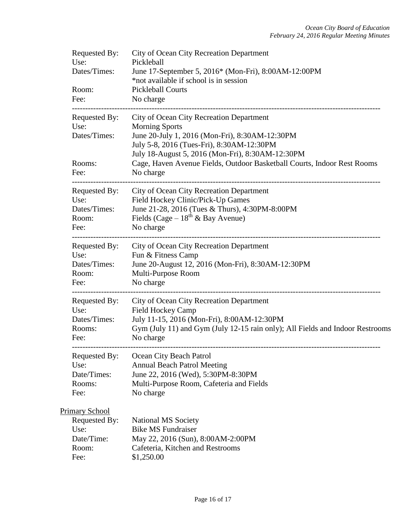| Requested By:<br>Use:<br>Dates/Times:<br>Room:<br>Fee:                        | City of Ocean City Recreation Department<br>Pickleball<br>June 17-September 5, 2016* (Mon-Fri), 8:00AM-12:00PM<br>*not available if school is in session<br><b>Pickleball Courts</b><br>No charge                                                                                                            |
|-------------------------------------------------------------------------------|--------------------------------------------------------------------------------------------------------------------------------------------------------------------------------------------------------------------------------------------------------------------------------------------------------------|
| Requested By:<br>Use:<br>Dates/Times:<br>Rooms:<br>Fee:                       | City of Ocean City Recreation Department<br><b>Morning Sports</b><br>June 20-July 1, 2016 (Mon-Fri), 8:30AM-12:30PM<br>July 5-8, 2016 (Tues-Fri), 8:30AM-12:30PM<br>July 18-August 5, 2016 (Mon-Fri), 8:30AM-12:30PM<br>Cage, Haven Avenue Fields, Outdoor Basketball Courts, Indoor Rest Rooms<br>No charge |
| Requested By:<br>Use:<br>Dates/Times:<br>Room:<br>Fee:                        | City of Ocean City Recreation Department<br>Field Hockey Clinic/Pick-Up Games<br>June 21-28, 2016 (Tues & Thurs), 4:30PM-8:00PM<br>Fields (Cage – $18^{th}$ & Bay Avenue)<br>No charge<br>-------------------------------------                                                                              |
| Requested By:<br>Use:<br>Dates/Times:<br>Room:<br>Fee:                        | City of Ocean City Recreation Department<br>Fun & Fitness Camp<br>June 20-August 12, 2016 (Mon-Fri), 8:30AM-12:30PM<br>Multi-Purpose Room<br>No charge                                                                                                                                                       |
| Requested By:<br>Use:<br>Dates/Times:<br>Rooms:<br>Fee:                       | City of Ocean City Recreation Department<br><b>Field Hockey Camp</b><br>July 11-15, 2016 (Mon-Fri), 8:00AM-12:30PM<br>Gym (July 11) and Gym (July 12-15 rain only); All Fields and Indoor Restrooms<br>No charge                                                                                             |
| Requested By:<br>Use:<br>Date/Times:<br>Rooms:<br>Fee:                        | Ocean City Beach Patrol<br><b>Annual Beach Patrol Meeting</b><br>June 22, 2016 (Wed), 5:30PM-8:30PM<br>Multi-Purpose Room, Cafeteria and Fields<br>No charge                                                                                                                                                 |
| <b>Primary School</b><br>Requested By:<br>Use:<br>Date/Time:<br>Room:<br>Fee: | <b>National MS Society</b><br><b>Bike MS Fundraiser</b><br>May 22, 2016 (Sun), 8:00AM-2:00PM<br>Cafeteria, Kitchen and Restrooms<br>\$1,250.00                                                                                                                                                               |